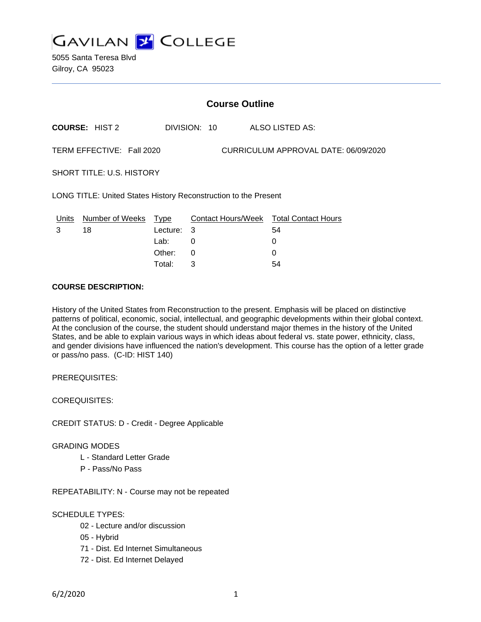

5055 Santa Teresa Blvd Gilroy, CA 95023

| <b>Course Outline</b>                                             |                       |                          |              |  |                                                   |
|-------------------------------------------------------------------|-----------------------|--------------------------|--------------|--|---------------------------------------------------|
|                                                                   | <b>COURSE: HIST 2</b> |                          | DIVISION: 10 |  | ALSO LISTED AS:                                   |
| TERM EFFECTIVE: Fall 2020<br>CURRICULUM APPROVAL DATE: 06/09/2020 |                       |                          |              |  |                                                   |
| <b>SHORT TITLE: U.S. HISTORY</b>                                  |                       |                          |              |  |                                                   |
| LONG TITLE: United States History Reconstruction to the Present   |                       |                          |              |  |                                                   |
| Units<br>3                                                        | Number of Weeks<br>18 | Type<br>Lecture:<br>Lab: | - 3<br>0     |  | Contact Hours/Week Total Contact Hours<br>54<br>0 |
|                                                                   |                       | Other:                   | 0            |  | 0                                                 |

Total: 3 54

#### **COURSE DESCRIPTION:**

History of the United States from Reconstruction to the present. Emphasis will be placed on distinctive patterns of political, economic, social, intellectual, and geographic developments within their global context. At the conclusion of the course, the student should understand major themes in the history of the United States, and be able to explain various ways in which ideas about federal vs. state power, ethnicity, class, and gender divisions have influenced the nation's development. This course has the option of a letter grade or pass/no pass. (C-ID: HIST 140)

PREREQUISITES:

COREQUISITES:

CREDIT STATUS: D - Credit - Degree Applicable

#### GRADING MODES

- L Standard Letter Grade
- P Pass/No Pass

REPEATABILITY: N - Course may not be repeated

#### SCHEDULE TYPES:

- 02 Lecture and/or discussion
- 05 Hybrid
- 71 Dist. Ed Internet Simultaneous
- 72 Dist. Ed Internet Delayed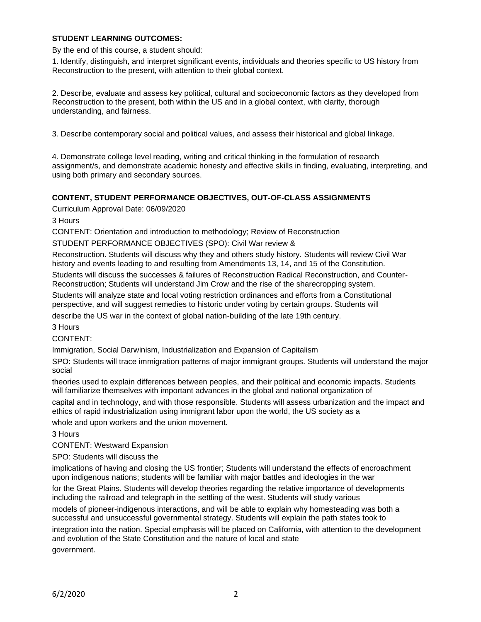#### **STUDENT LEARNING OUTCOMES:**

By the end of this course, a student should:

1. Identify, distinguish, and interpret significant events, individuals and theories specific to US history from Reconstruction to the present, with attention to their global context.

2. Describe, evaluate and assess key political, cultural and socioeconomic factors as they developed from Reconstruction to the present, both within the US and in a global context, with clarity, thorough understanding, and fairness.

3. Describe contemporary social and political values, and assess their historical and global linkage.

4. Demonstrate college level reading, writing and critical thinking in the formulation of research assignment/s, and demonstrate academic honesty and effective skills in finding, evaluating, interpreting, and using both primary and secondary sources.

#### **CONTENT, STUDENT PERFORMANCE OBJECTIVES, OUT-OF-CLASS ASSIGNMENTS**

Curriculum Approval Date: 06/09/2020

3 Hours

CONTENT: Orientation and introduction to methodology; Review of Reconstruction

STUDENT PERFORMANCE OBJECTIVES (SPO): Civil War review &

Reconstruction. Students will discuss why they and others study history. Students will review Civil War history and events leading to and resulting from Amendments 13, 14, and 15 of the Constitution. Students will discuss the successes & failures of Reconstruction Radical Reconstruction, and Counter-

Reconstruction; Students will understand Jim Crow and the rise of the sharecropping system.

Students will analyze state and local voting restriction ordinances and efforts from a Constitutional perspective, and will suggest remedies to historic under voting by certain groups. Students will describe the US war in the context of global nation-building of the late 19th century.

3 Hours

CONTENT:

Immigration, Social Darwinism, Industrialization and Expansion of Capitalism

SPO: Students will trace immigration patterns of major immigrant groups. Students will understand the major social

theories used to explain differences between peoples, and their political and economic impacts. Students will familiarize themselves with important advances in the global and national organization of

capital and in technology, and with those responsible. Students will assess urbanization and the impact and ethics of rapid industrialization using immigrant labor upon the world, the US society as a

whole and upon workers and the union movement.

3 Hours

CONTENT: Westward Expansion

SPO: Students will discuss the

implications of having and closing the US frontier; Students will understand the effects of encroachment upon indigenous nations; students will be familiar with major battles and ideologies in the war

for the Great Plains. Students will develop theories regarding the relative importance of developments including the railroad and telegraph in the settling of the west. Students will study various

models of pioneer-indigenous interactions, and will be able to explain why homesteading was both a successful and unsuccessful governmental strategy. Students will explain the path states took to integration into the nation. Special emphasis will be placed on California, with attention to the development and evolution of the State Constitution and the nature of local and state government.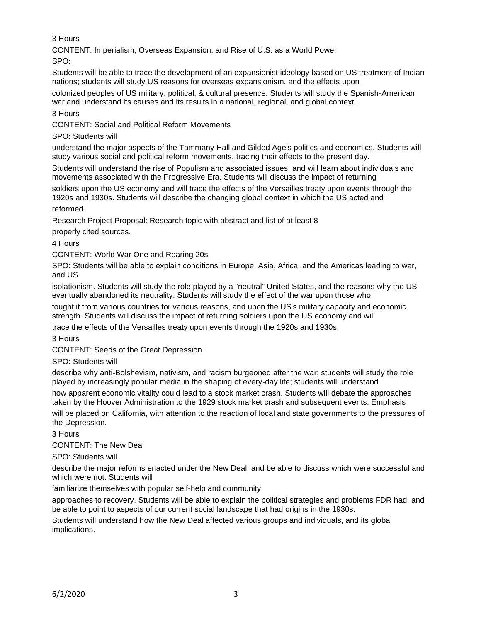3 Hours

CONTENT: Imperialism, Overseas Expansion, and Rise of U.S. as a World Power

SPO:

Students will be able to trace the development of an expansionist ideology based on US treatment of Indian nations; students will study US reasons for overseas expansionism, and the effects upon

colonized peoples of US military, political, & cultural presence. Students will study the Spanish-American war and understand its causes and its results in a national, regional, and global context.

3 Hours

CONTENT: Social and Political Reform Movements

SPO: Students will

understand the major aspects of the Tammany Hall and Gilded Age's politics and economics. Students will study various social and political reform movements, tracing their effects to the present day.

Students will understand the rise of Populism and associated issues, and will learn about individuals and movements associated with the Progressive Era. Students will discuss the impact of returning

soldiers upon the US economy and will trace the effects of the Versailles treaty upon events through the 1920s and 1930s. Students will describe the changing global context in which the US acted and reformed.

Research Project Proposal: Research topic with abstract and list of at least 8

properly cited sources.

4 Hours

CONTENT: World War One and Roaring 20s

SPO: Students will be able to explain conditions in Europe, Asia, Africa, and the Americas leading to war, and US

isolationism. Students will study the role played by a "neutral" United States, and the reasons why the US eventually abandoned its neutrality. Students will study the effect of the war upon those who

fought it from various countries for various reasons, and upon the US's military capacity and economic strength. Students will discuss the impact of returning soldiers upon the US economy and will

trace the effects of the Versailles treaty upon events through the 1920s and 1930s.

3 Hours

CONTENT: Seeds of the Great Depression

SPO: Students will

describe why anti-Bolshevism, nativism, and racism burgeoned after the war; students will study the role played by increasingly popular media in the shaping of every-day life; students will understand

how apparent economic vitality could lead to a stock market crash. Students will debate the approaches taken by the Hoover Administration to the 1929 stock market crash and subsequent events. Emphasis

will be placed on California, with attention to the reaction of local and state governments to the pressures of the Depression.

3 Hours

CONTENT: The New Deal

SPO: Students will

describe the major reforms enacted under the New Deal, and be able to discuss which were successful and which were not. Students will

familiarize themselves with popular self-help and community

approaches to recovery. Students will be able to explain the political strategies and problems FDR had, and be able to point to aspects of our current social landscape that had origins in the 1930s.

Students will understand how the New Deal affected various groups and individuals, and its global implications.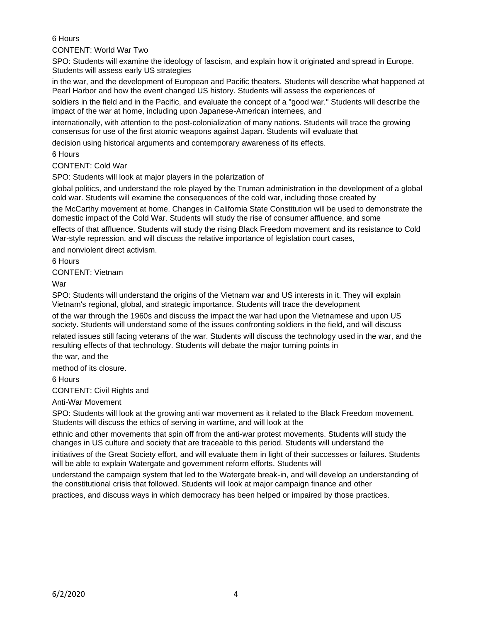## 6 Hours

### CONTENT: World War Two

SPO: Students will examine the ideology of fascism, and explain how it originated and spread in Europe. Students will assess early US strategies

in the war, and the development of European and Pacific theaters. Students will describe what happened at Pearl Harbor and how the event changed US history. Students will assess the experiences of

soldiers in the field and in the Pacific, and evaluate the concept of a "good war." Students will describe the impact of the war at home, including upon Japanese-American internees, and

internationally, with attention to the post-colonialization of many nations. Students will trace the growing consensus for use of the first atomic weapons against Japan. Students will evaluate that

decision using historical arguments and contemporary awareness of its effects.

### 6 Hours

CONTENT: Cold War

SPO: Students will look at major players in the polarization of

global politics, and understand the role played by the Truman administration in the development of a global cold war. Students will examine the consequences of the cold war, including those created by

the McCarthy movement at home. Changes in California State Constitution will be used to demonstrate the domestic impact of the Cold War. Students will study the rise of consumer affluence, and some

effects of that affluence. Students will study the rising Black Freedom movement and its resistance to Cold War-style repression, and will discuss the relative importance of legislation court cases,

and nonviolent direct activism.

6 Hours

CONTENT: Vietnam

War

SPO: Students will understand the origins of the Vietnam war and US interests in it. They will explain Vietnam's regional, global, and strategic importance. Students will trace the development

of the war through the 1960s and discuss the impact the war had upon the Vietnamese and upon US society. Students will understand some of the issues confronting soldiers in the field, and will discuss

related issues still facing veterans of the war. Students will discuss the technology used in the war, and the resulting effects of that technology. Students will debate the major turning points in

the war, and the

method of its closure.

6 Hours

CONTENT: Civil Rights and

Anti-War Movement

SPO: Students will look at the growing anti war movement as it related to the Black Freedom movement. Students will discuss the ethics of serving in wartime, and will look at the

ethnic and other movements that spin off from the anti-war protest movements. Students will study the changes in US culture and society that are traceable to this period. Students will understand the

initiatives of the Great Society effort, and will evaluate them in light of their successes or failures. Students will be able to explain Watergate and government reform efforts. Students will

understand the campaign system that led to the Watergate break-in, and will develop an understanding of the constitutional crisis that followed. Students will look at major campaign finance and other

practices, and discuss ways in which democracy has been helped or impaired by those practices.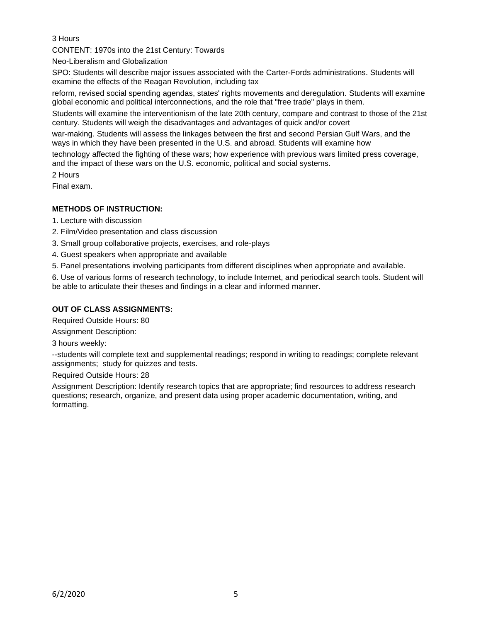3 Hours

CONTENT: 1970s into the 21st Century: Towards

Neo-Liberalism and Globalization

SPO: Students will describe major issues associated with the Carter-Fords administrations. Students will examine the effects of the Reagan Revolution, including tax

reform, revised social spending agendas, states' rights movements and deregulation. Students will examine global economic and political interconnections, and the role that "free trade" plays in them.

Students will examine the interventionism of the late 20th century, compare and contrast to those of the 21st century. Students will weigh the disadvantages and advantages of quick and/or covert

war-making. Students will assess the linkages between the first and second Persian Gulf Wars, and the ways in which they have been presented in the U.S. and abroad. Students will examine how

technology affected the fighting of these wars; how experience with previous wars limited press coverage, and the impact of these wars on the U.S. economic, political and social systems.

2 Hours

Final exam.

### **METHODS OF INSTRUCTION:**

- 1. Lecture with discussion
- 2. Film/Video presentation and class discussion
- 3. Small group collaborative projects, exercises, and role-plays
- 4. Guest speakers when appropriate and available
- 5. Panel presentations involving participants from different disciplines when appropriate and available.

6. Use of various forms of research technology, to include Internet, and periodical search tools. Student will be able to articulate their theses and findings in a clear and informed manner.

### **OUT OF CLASS ASSIGNMENTS:**

Required Outside Hours: 80

Assignment Description:

3 hours weekly:

--students will complete text and supplemental readings; respond in writing to readings; complete relevant assignments; study for quizzes and tests.

Required Outside Hours: 28

Assignment Description: Identify research topics that are appropriate; find resources to address research questions; research, organize, and present data using proper academic documentation, writing, and formatting.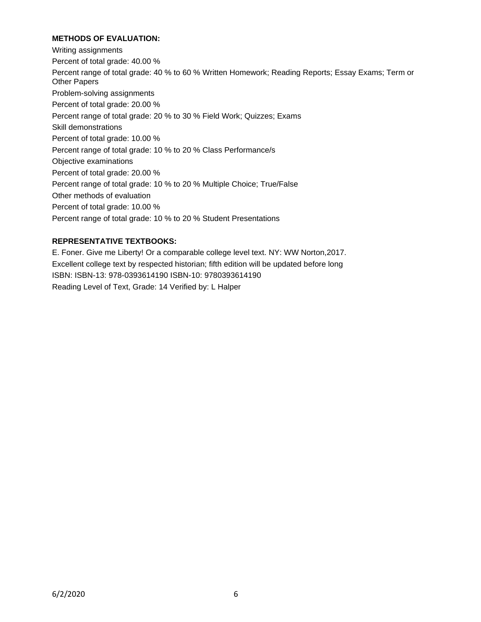## **METHODS OF EVALUATION:**

Writing assignments Percent of total grade: 40.00 % Percent range of total grade: 40 % to 60 % Written Homework; Reading Reports; Essay Exams; Term or Other Papers Problem-solving assignments Percent of total grade: 20.00 % Percent range of total grade: 20 % to 30 % Field Work; Quizzes; Exams Skill demonstrations Percent of total grade: 10.00 % Percent range of total grade: 10 % to 20 % Class Performance/s Objective examinations Percent of total grade: 20.00 % Percent range of total grade: 10 % to 20 % Multiple Choice; True/False Other methods of evaluation Percent of total grade: 10.00 % Percent range of total grade: 10 % to 20 % Student Presentations

## **REPRESENTATIVE TEXTBOOKS:**

E. Foner. Give me Liberty! Or a comparable college level text. NY: WW Norton,2017. Excellent college text by respected historian; fifth edition will be updated before long ISBN: ISBN-13: 978-0393614190 ISBN-10: 9780393614190 Reading Level of Text, Grade: 14 Verified by: L Halper